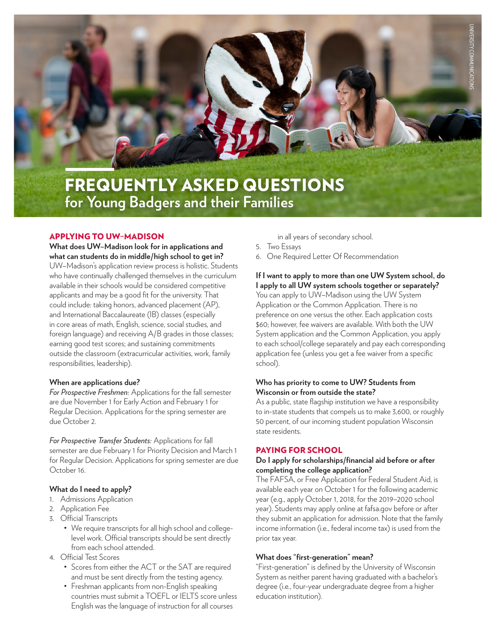

### APPLYING TO UW–MADISON

**What does UW–Madison look for in applications and what can students do in middle/high school to get in?** UW–Madison's application review process is holistic. Students who have continually challenged themselves in the curriculum available in their schools would be considered competitive applicants and may be a good fit for the university. That could include: taking honors, advanced placement (AP), and International Baccalaureate (IB) classes (especially in core areas of math, English, science, social studies, and foreign language) and receiving A/B grades in those classes; earning good test scores; and sustaining commitments outside the classroom (extracurricular activities, work, family responsibilities, leadership).

## **When are applications due?**

*For Prospective Freshmen:* Applications for the fall semester are due November 1 for Early Action and February 1 for Regular Decision. Applications for the spring semester are due October 2.

*For Prospective Transfer Students:* Applications for fall semester are due February 1 for Priority Decision and March 1 for Regular Decision. Applications for spring semester are due October 16.

# **What do I need to apply?**

- 1. Admissions Application
- 2. Application Fee
- 3. Official Transcripts
	- We require transcripts for all high school and collegelevel work. Official transcripts should be sent directly from each school attended.
- 4. Official Test Scores
	- Scores from either the ACT or the SAT are required and must be sent directly from the testing agency.
	- Freshman applicants from non-English speaking countries must submit a TOEFL or IELTS score unless English was the language of instruction for all courses

in all years of secondary school.

- 5. Two Essays
- 6. One Required Letter Of Recommendation

**If I want to apply to more than one UW System school, do I apply to all UW system schools together or separately?**

You can apply to UW–Madison using the UW System Application or the Common Application. There is no preference on one versus the other. Each application costs \$60; however, fee waivers are available. With both the UW System application and the Common Application, you apply to each school/college separately and pay each corresponding application fee (unless you get a fee waiver from a specific school).

## **Who has priority to come to UW? Students from Wisconsin or from outside the state?**

As a public, state flagship institution we have a responsibility to in-state students that compels us to make 3,600, or roughly 50 percent, of our incoming student population Wisconsin state residents.

### PAYING FOR SCHOOL

### **Do I apply for scholarships/financial aid before or after completing the college application?**

The FAFSA, or Free Application for Federal Student Aid, is available each year on October 1 for the following academic year (e.g., apply October 1, 2018, for the 2019–2020 school year). Students may apply online at fafsa.gov before or after they submit an application for admission. Note that the family income information (i.e., federal income tax) is used from the prior tax year.

#### **What does "first-generation" mean?**

"First-generation" is defined by the University of Wisconsin System as neither parent having graduated with a bachelor's degree (i.e., four-year undergraduate degree from a higher education institution).